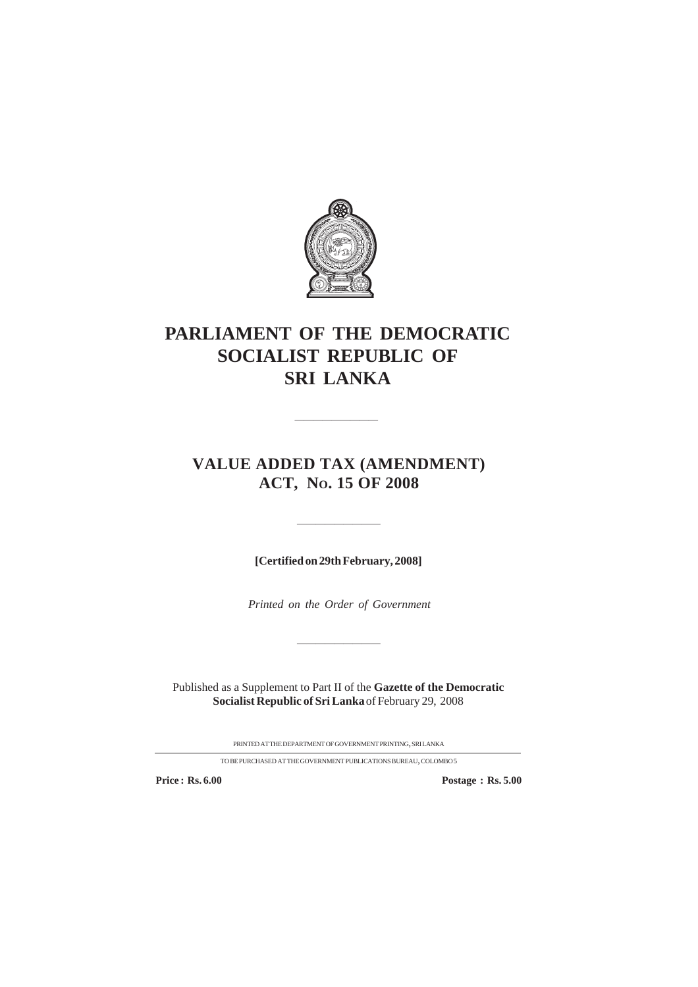

# **PARLIAMENT OF THE DEMOCRATIC SOCIALIST REPUBLIC OF SRI LANKA**

# **VALUE ADDED TAX (AMENDMENT) ACT, NO. 15 OF 2008**

————————————————————

**[Certified on 29th February, 2008]**

—————————

*Printed on the Order of Government*

—————————

Published as a Supplement to Part II of the **Gazette of the Democratic Socialist Republic of Sri Lanka** of February 29, 2008

PRINTEDATTHEDEPARTMENTOFGOVERNMENTPRINTING, SRILANKA

TOBEPURCHASED ATTHEGOVERNMENTPUBLICATIONSBUREAU, COLOMBO5

**Price : Rs. 6.00 Postage : Rs. 5.00**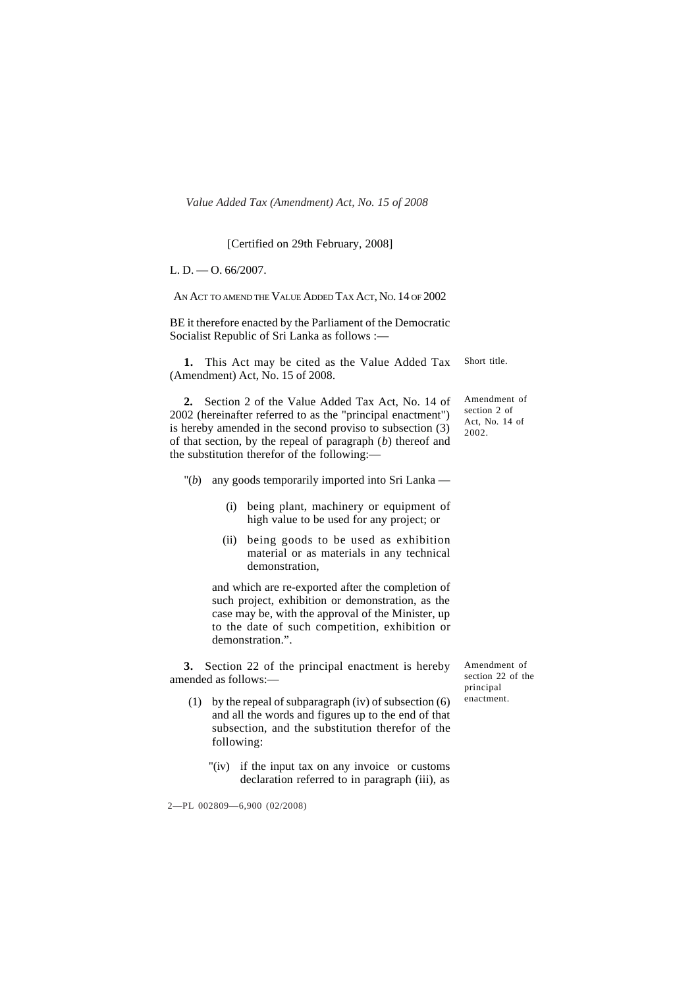#### [Certified on 29th February, 2008]

L. D.  $-$  O. 66/2007.

AN ACT TO AMEND THE VALUE ADDED TAX ACT, NO. 14 OF 2002

BE it therefore enacted by the Parliament of the Democratic Socialist Republic of Sri Lanka as follows :—

**1.** This Act may be cited as the Value Added Tax (Amendment) Act, No. 15 of 2008.

**2.** Section 2 of the Value Added Tax Act, No. 14 of 2002 (hereinafter referred to as the "principal enactment") is hereby amended in the second proviso to subsection (3) of that section, by the repeal of paragraph (*b*) thereof and the substitution therefor of the following:—

- "(*b*) any goods temporarily imported into Sri Lanka
	- (i) being plant, machinery or equipment of high value to be used for any project; or
	- (ii) being goods to be used as exhibition material or as materials in any technical demonstration,

and which are re-exported after the completion of such project, exhibition or demonstration, as the case may be, with the approval of the Minister, up to the date of such competition, exhibition or demonstration.".

**3.** Section 22 of the principal enactment is hereby amended as follows:—

- (1) by the repeal of subparagraph (iv) of subsection (6) and all the words and figures up to the end of that subsection, and the substitution therefor of the following:
	- "(iv) if the input tax on any invoice or customs declaration referred to in paragraph (iii), as

2—PL 002809—6,900 (02/2008)

Short title.

Amendment of section 2 of Act, No. 14 of 2002.

Amendment of section 22 of the principal enactment.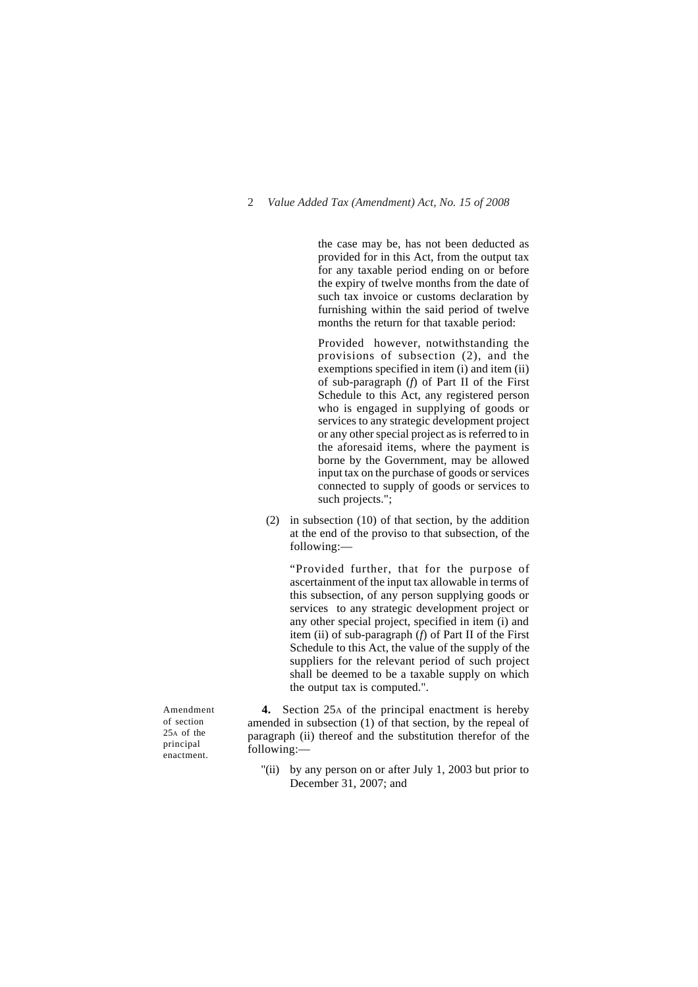the case may be, has not been deducted as provided for in this Act, from the output tax for any taxable period ending on or before the expiry of twelve months from the date of such tax invoice or customs declaration by furnishing within the said period of twelve months the return for that taxable period:

Provided however, notwithstanding the provisions of subsection (2), and the exemptions specified in item (i) and item (ii) of sub-paragraph (*f*) of Part II of the First Schedule to this Act, any registered person who is engaged in supplying of goods or services to any strategic development project or any other special project as is referred to in the aforesaid items, where the payment is borne by the Government, may be allowed input tax on the purchase of goods or services connected to supply of goods or services to such projects.";

(2) in subsection (10) of that section, by the addition at the end of the proviso to that subsection, of the following:—

"Provided further, that for the purpose of ascertainment of the input tax allowable in terms of this subsection, of any person supplying goods or services to any strategic development project or any other special project, specified in item (i) and item (ii) of sub-paragraph (*f*) of Part II of the First Schedule to this Act, the value of the supply of the suppliers for the relevant period of such project shall be deemed to be a taxable supply on which the output tax is computed.".

Amendment of section 25A of the principal enactment.

**4.** Section 25A of the principal enactment is hereby amended in subsection (1) of that section, by the repeal of paragraph (ii) thereof and the substitution therefor of the following:—

"(ii) by any person on or after July 1, 2003 but prior to December 31, 2007; and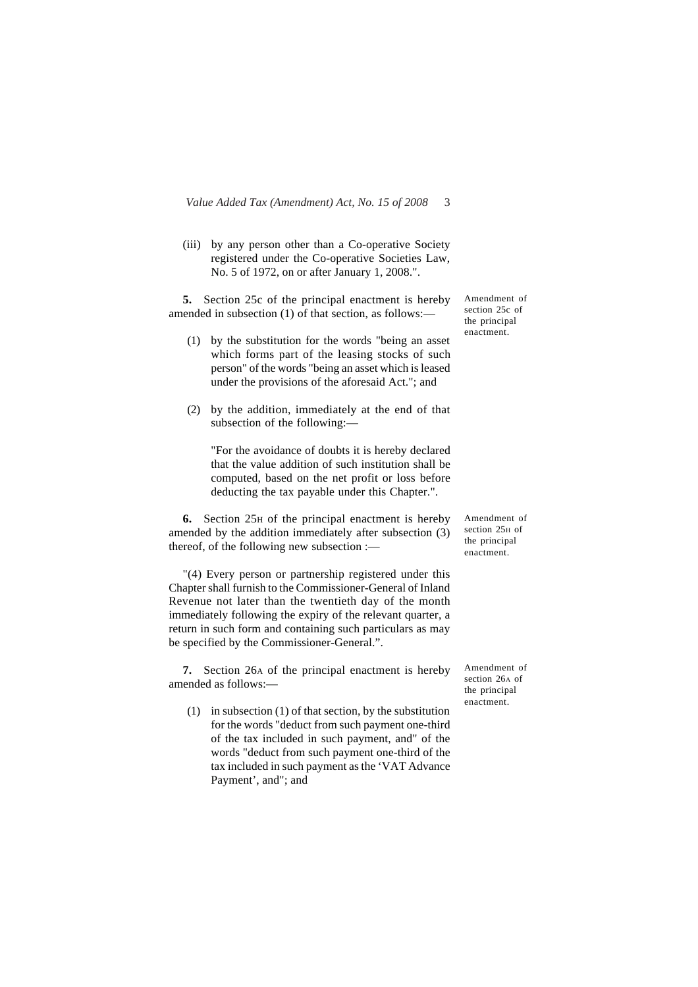(iii) by any person other than a Co-operative Society registered under the Co-operative Societies Law, No. 5 of 1972, on or after January 1, 2008.".

**5.** Section 25c of the principal enactment is hereby amended in subsection (1) of that section, as follows:—

- (1) by the substitution for the words "being an asset which forms part of the leasing stocks of such person" of the words "being an asset which is leased under the provisions of the aforesaid Act."; and
- (2) by the addition, immediately at the end of that subsection of the following:—

"For the avoidance of doubts it is hereby declared that the value addition of such institution shall be computed, based on the net profit or loss before deducting the tax payable under this Chapter.".

**6.** Section 25H of the principal enactment is hereby amended by the addition immediately after subsection (3) thereof, of the following new subsection :—

"(4) Every person or partnership registered under this Chapter shall furnish to the Commissioner-General of Inland Revenue not later than the twentieth day of the month immediately following the expiry of the relevant quarter, a return in such form and containing such particulars as may be specified by the Commissioner-General.".

**7.** Section 26A of the principal enactment is hereby amended as follows:—

(1) in subsection (1) of that section, by the substitution for the words "deduct from such payment one-third of the tax included in such payment, and" of the words "deduct from such payment one-third of the tax included in such payment as the 'VAT Advance Payment', and"; and

Amendment of section 25c of the principal enactment.

Amendment of section 25H of the principal enactment.

Amendment of section 26A of the principal enactment.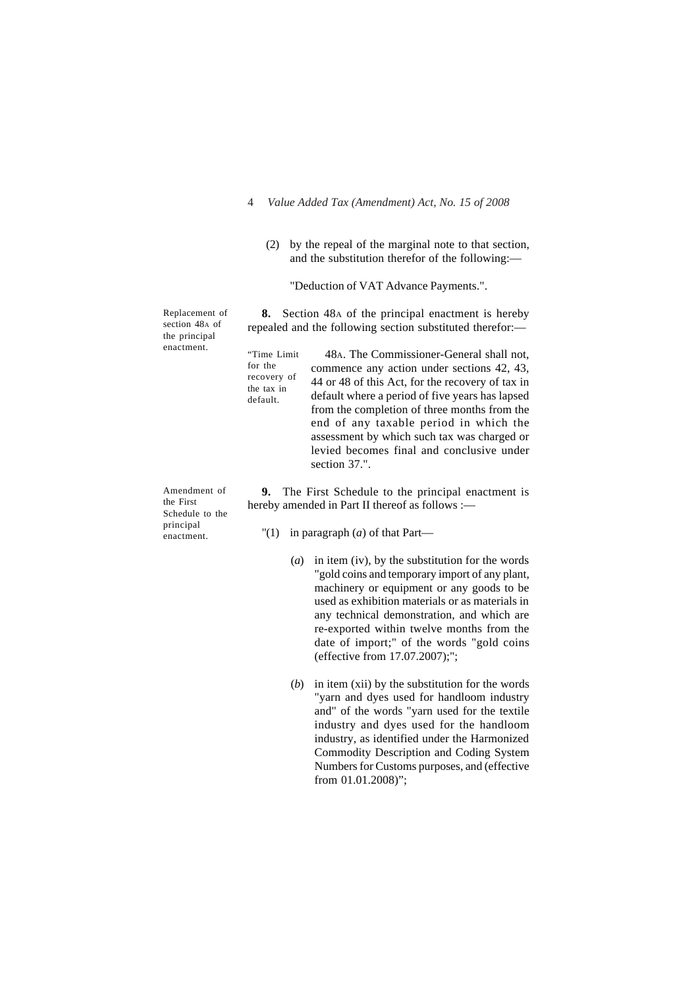(2) by the repeal of the marginal note to that section, and the substitution therefor of the following:—

"Deduction of VAT Advance Payments.".

Replacement of section 48A of the principal enactment.

> for the recovery of the tax in default.

Amendment of the First Schedule to the principal enactment.

**8.** Section 48A of the principal enactment is hereby repealed and the following section substituted therefor:—

48A. The Commissioner-General shall not, commence any action under sections 42, 43, 44 or 48 of this Act, for the recovery of tax in default where a period of five years has lapsed from the completion of three months from the end of any taxable period in which the assessment by which such tax was charged or levied becomes final and conclusive under section 37.". "Time Limit

**9.** The First Schedule to the principal enactment is hereby amended in Part II thereof as follows :-

- "(1) in paragraph (*a*) of that Part—
	- (*a*) in item (iv), by the substitution for the words "gold coins and temporary import of any plant, machinery or equipment or any goods to be used as exhibition materials or as materials in any technical demonstration, and which are re-exported within twelve months from the date of import;" of the words "gold coins (effective from 17.07.2007);";
	- (*b*) in item (xii) by the substitution for the words "yarn and dyes used for handloom industry and" of the words "yarn used for the textile industry and dyes used for the handloom industry, as identified under the Harmonized Commodity Description and Coding System Numbers for Customs purposes, and (effective from 01.01.2008)";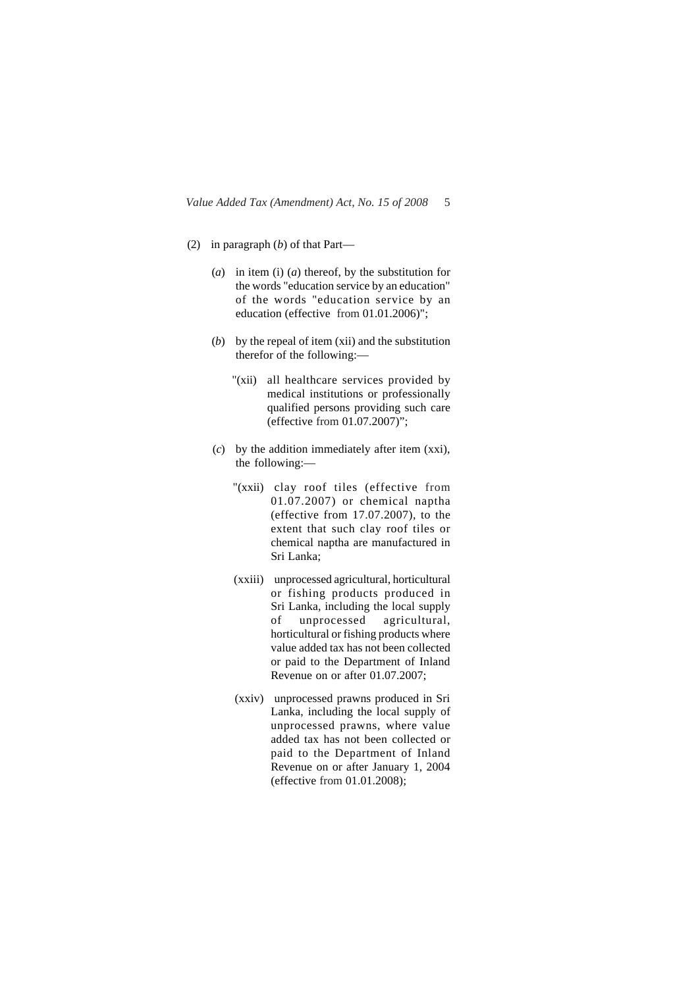- (2) in paragraph (*b*) of that Part—
	- (*a*) in item (i) (*a*) thereof, by the substitution for the words "education service by an education" of the words "education service by an education (effective from 01.01.2006)";
	- (*b*) by the repeal of item (xii) and the substitution therefor of the following:—
		- "(xii) all healthcare services provided by medical institutions or professionally qualified persons providing such care (effective from 01.07.2007)";
	- (*c*) by the addition immediately after item (xxi), the following:—
		- "(xxii) clay roof tiles (effective from 01.07.2007) or chemical naptha (effective from 17.07.2007), to the extent that such clay roof tiles or chemical naptha are manufactured in Sri Lanka;
		- (xxiii) unprocessed agricultural, horticultural or fishing products produced in Sri Lanka, including the local supply of unprocessed agricultural, horticultural or fishing products where value added tax has not been collected or paid to the Department of Inland Revenue on or after 01.07.2007;
		- (xxiv) unprocessed prawns produced in Sri Lanka, including the local supply of unprocessed prawns, where value added tax has not been collected or paid to the Department of Inland Revenue on or after January 1, 2004 (effective from 01.01.2008);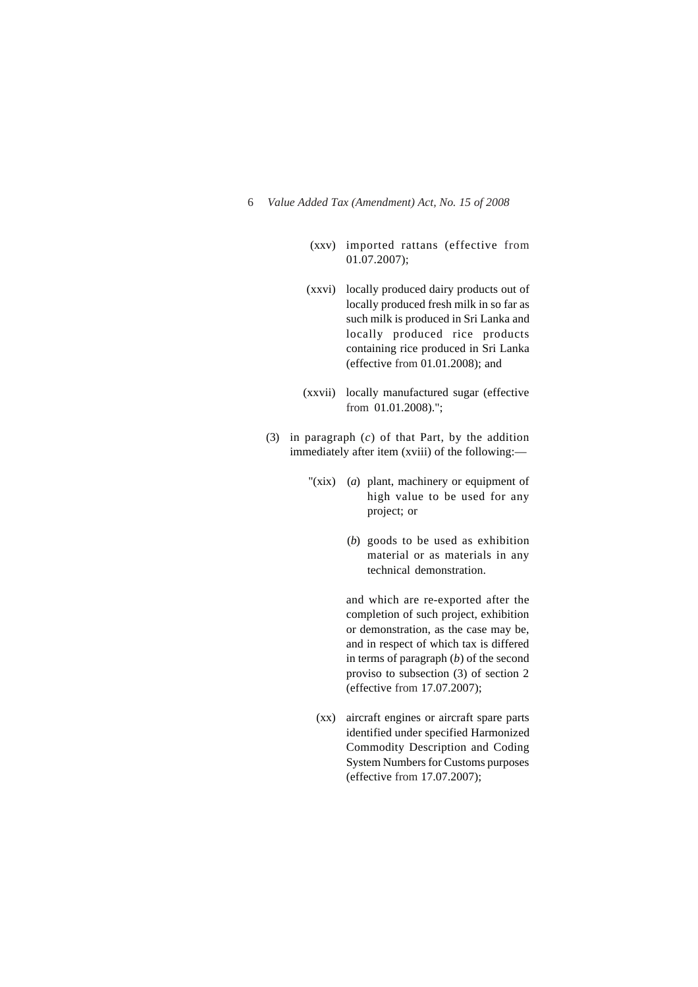- (xxv) imported rattans (effective from 01.07.2007);
- (xxvi) locally produced dairy products out of locally produced fresh milk in so far as such milk is produced in Sri Lanka and locally produced rice products containing rice produced in Sri Lanka (effective from 01.01.2008); and
- (xxvii) locally manufactured sugar (effective from 01.01.2008).";
- (3) in paragraph (*c*) of that Part, by the addition immediately after item (xviii) of the following:—
	- "(xix) (*a*) plant, machinery or equipment of high value to be used for any project; or
		- (*b*) goods to be used as exhibition material or as materials in any technical demonstration.

and which are re-exported after the completion of such project, exhibition or demonstration, as the case may be, and in respect of which tax is differed in terms of paragraph (*b*) of the second proviso to subsection (3) of section 2 (effective from 17.07.2007);

(xx) aircraft engines or aircraft spare parts identified under specified Harmonized Commodity Description and Coding System Numbers for Customs purposes (effective from 17.07.2007);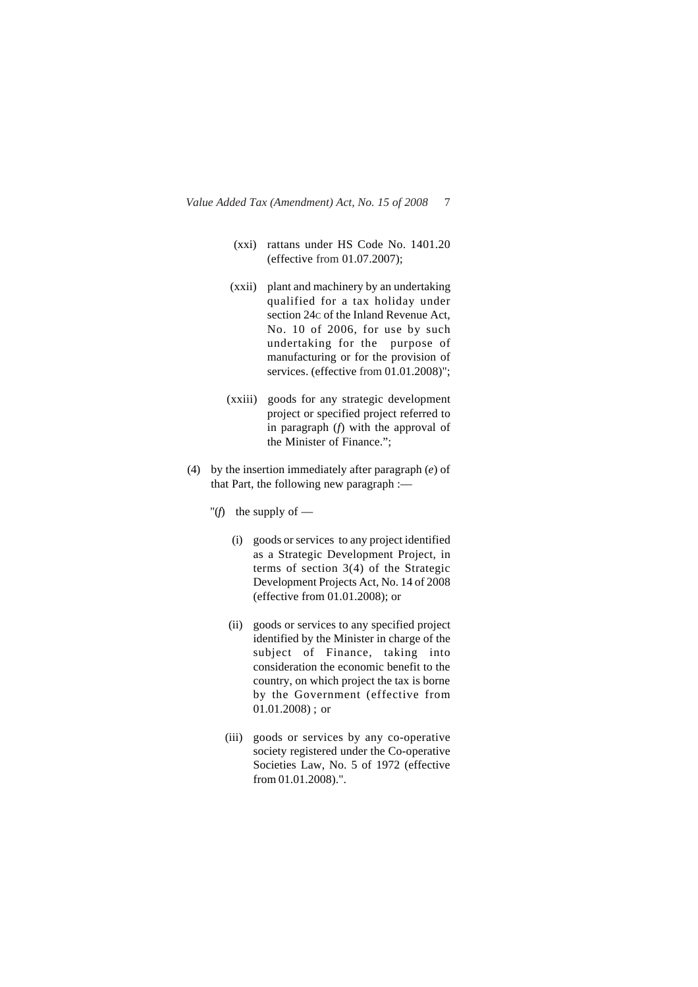- (xxi) rattans under HS Code No. 1401.20 (effective from 01.07.2007);
- (xxii) plant and machinery by an undertaking qualified for a tax holiday under section 24c of the Inland Revenue Act, No. 10 of 2006, for use by such undertaking for the purpose of manufacturing or for the provision of services. (effective from 01.01.2008)";
- (xxiii) goods for any strategic development project or specified project referred to in paragraph (*f*) with the approval of the Minister of Finance.";
- (4) by the insertion immediately after paragraph (*e*) of that Part, the following new paragraph :—
	- " $(f)$  the supply of
		- (i) goods or services to any project identified as a Strategic Development Project, in terms of section 3(4) of the Strategic Development Projects Act, No. 14 of 2008 (effective from 01.01.2008); or
		- (ii) goods or services to any specified project identified by the Minister in charge of the subject of Finance, taking into consideration the economic benefit to the country, on which project the tax is borne by the Government (effective from 01.01.2008) ; or
		- (iii) goods or services by any co-operative society registered under the Co-operative Societies Law, No. 5 of 1972 (effective from 01.01.2008).".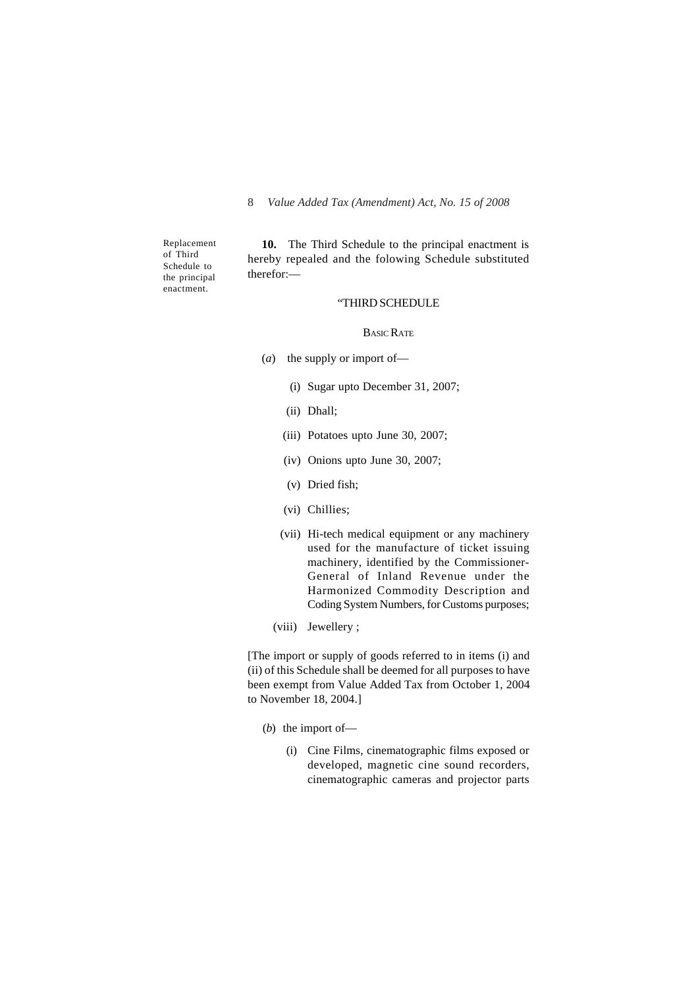Replacement of Third Schedule to the principal enactment.

**10.** The Third Schedule to the principal enactment is hereby repealed and the folowing Schedule substituted therefor:—

#### "THIRD SCHEDULE

#### BASIC RATE

- (*a*) the supply or import of—
	- (i) Sugar upto December 31, 2007;
	- (ii) Dhall;
	- (iii) Potatoes upto June 30, 2007;
	- (iv) Onions upto June 30, 2007;
	- (v) Dried fish;
	- (vi) Chillies;
	- (vii) Hi-tech medical equipment or any machinery used for the manufacture of ticket issuing machinery, identified by the Commissioner-General of Inland Revenue under the Harmonized Commodity Description and Coding System Numbers, for Customs purposes;
	- (viii) Jewellery ;

[The import or supply of goods referred to in items (i) and (ii) of this Schedule shall be deemed for all purposes to have been exempt from Value Added Tax from October 1, 2004 to November 18, 2004.]

- (*b*) the import of—
	- (i) Cine Films, cinematographic films exposed or developed, magnetic cine sound recorders, cinematographic cameras and projector parts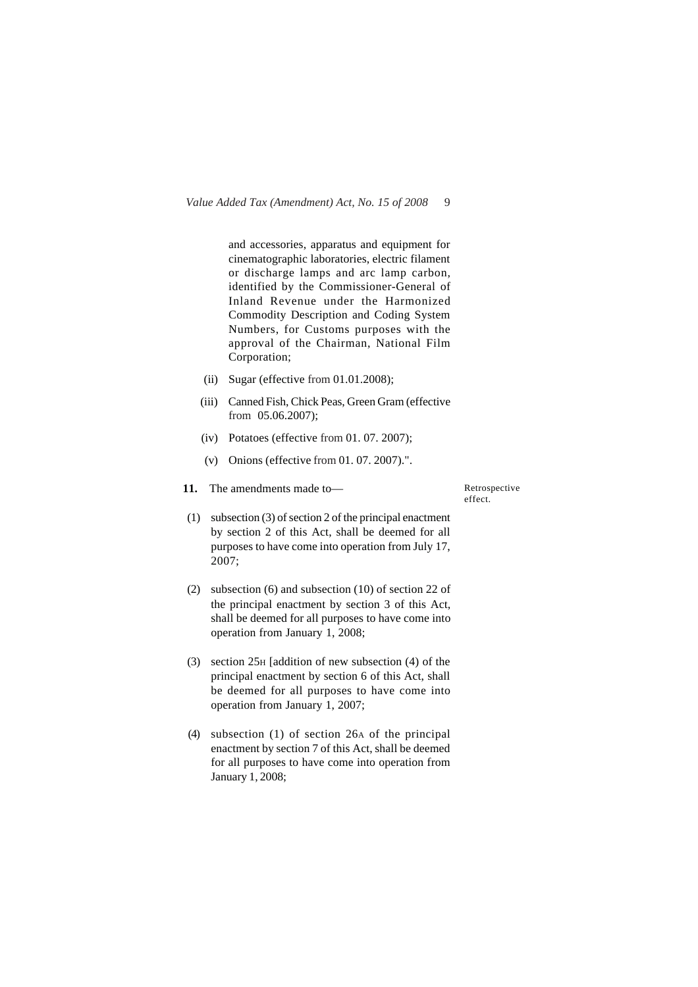and accessories, apparatus and equipment for cinematographic laboratories, electric filament or discharge lamps and arc lamp carbon, identified by the Commissioner-General of Inland Revenue under the Harmonized Commodity Description and Coding System Numbers, for Customs purposes with the approval of the Chairman, National Film Corporation;

- (ii) Sugar (effective from 01.01.2008);
- (iii) Canned Fish, Chick Peas, Green Gram (effective from 05.06.2007);
- (iv) Potatoes (effective from 01. 07. 2007);
- (v) Onions (effective from 01. 07. 2007).".
- **11.** The amendments made to—

Retrospective effect.

- (1) subsection (3) of section 2 of the principal enactment by section 2 of this Act, shall be deemed for all purposes to have come into operation from July 17, 2007;
- (2) subsection (6) and subsection (10) of section 22 of the principal enactment by section 3 of this Act, shall be deemed for all purposes to have come into operation from January 1, 2008;
- (3) section 25H [addition of new subsection (4) of the principal enactment by section 6 of this Act, shall be deemed for all purposes to have come into operation from January 1, 2007;
- (4) subsection (1) of section 26A of the principal enactment by section 7 of this Act, shall be deemed for all purposes to have come into operation from January 1, 2008;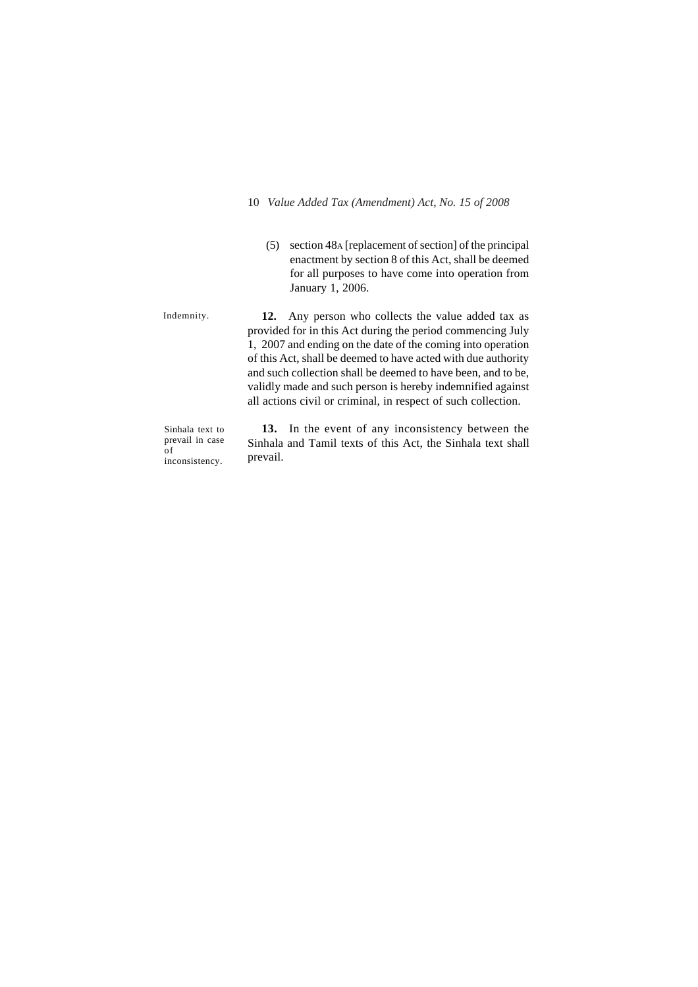(5) section 48A [replacement of section] of the principal enactment by section 8 of this Act, shall be deemed for all purposes to have come into operation from January 1, 2006.

Indemnity.

**12.** Any person who collects the value added tax as provided for in this Act during the period commencing July 1, 2007 and ending on the date of the coming into operation of this Act, shall be deemed to have acted with due authority and such collection shall be deemed to have been, and to be, validly made and such person is hereby indemnified against all actions civil or criminal, in respect of such collection.

Sinhala text to prevail in case of inconsistency.

**13.** In the event of any inconsistency between the Sinhala and Tamil texts of this Act, the Sinhala text shall prevail.